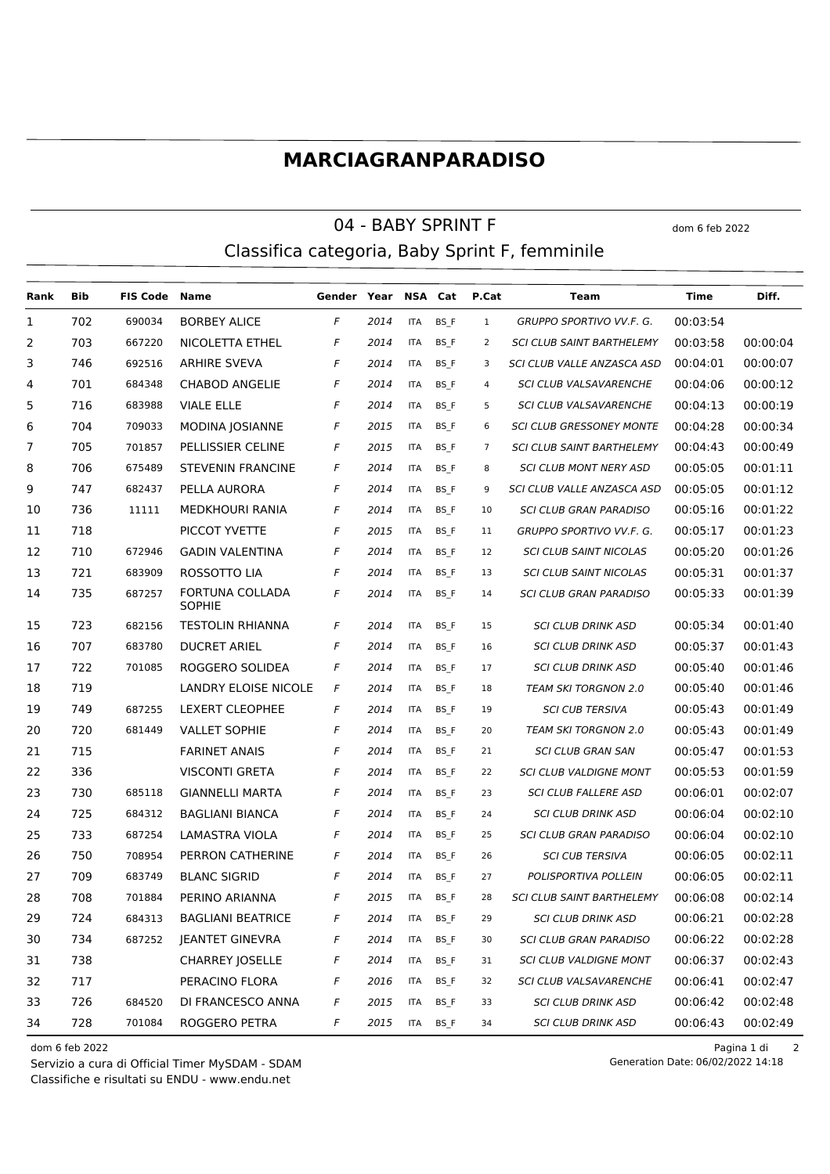## **MARCIAGRANPARADISO**

## 04 - BABY SPRINT F dom 6 feb 2022 Classifica categoria, Baby Sprint F, femminile

**Rank Bib FIS Code Name Gender Year NSA Cat P.Cat Team Time Diff.** 702 690034 BORBEY ALICE *F 2014* ITA BS\_F 1 *GRUPPO SPORTIVO VV.F. G.* 00:03:54 703 667220 NICOLETTA ETHEL *F 2014* ITA BS\_F 2 *SCI CLUB SAINT BARTHELEMY* 00:03:58 00:00:04 746 692516 ARHIRE SVEVA *F 2014* ITA BS\_F 3 *SCI CLUB VALLE ANZASCA ASD* 00:04:01 00:00:07 701 684348 CHABOD ANGELIE *F 2014* ITA BS\_F 4 *SCI CLUB VALSAVARENCHE* 00:04:06 00:00:12 716 683988 VIALE ELLE *F 2014* ITA BS\_F 5 *SCI CLUB VALSAVARENCHE* 00:04:13 00:00:19 704 709033 MODINA JOSIANNE *F 2015* ITA BS\_F 6 *SCI CLUB GRESSONEY MONTE* 00:04:28 00:00:34 705 701857 PELLISSIER CELINE *F 2015* ITA BS\_F 7 *SCI CLUB SAINT BARTHELEMY* 00:04:43 00:00:49 706 675489 STEVENIN FRANCINE *F 2014* ITA BS\_F 8 *SCI CLUB MONT NERY ASD* 00:05:05 00:01:11 747 682437 PELLA AURORA *F 2014* ITA BS\_F 9 *SCI CLUB VALLE ANZASCA ASD* 00:05:05 00:01:12 736 11111 MEDKHOURI RANIA *F 2014* ITA BS\_F 10 *SCI CLUB GRAN PARADISO* 00:05:16 00:01:22 718 PICCOT YVETTE *F 2015* ITA BS\_F 11 *GRUPPO SPORTIVO VV.F. G.* 00:05:17 00:01:23 710 672946 GADIN VALENTINA *F 2014* ITA BS\_F 12 *SCI CLUB SAINT NICOLAS* 00:05:20 00:01:26 721 683909 ROSSOTTO LIA *F 2014* ITA BS\_F 13 *SCI CLUB SAINT NICOLAS* 00:05:31 00:01:37 FORTUNA COLLADA 687257 *F 2014* ITA BS\_F 14 *SCI CLUB GRAN PARADISO* 00:05:33 00:01:39 **SOPHIE**  723 682156 TESTOLIN RHIANNA *F 2014* ITA BS\_F 15 *SCI CLUB DRINK ASD* 00:05:34 00:01:40 707 683780 DUCRET ARIEL *F 2014* ITA BS\_F 16 *SCI CLUB DRINK ASD* 00:05:37 00:01:43 722 701085 ROGGERO SOLIDEA *F 2014* ITA BS\_F 17 *SCI CLUB DRINK ASD* 00:05:40 00:01:46 719 LANDRY ELOISE NICOLE *F 2014* ITA BS\_F 18 *TEAM SKI TORGNON 2.0* 00:05:40 00:01:46 749 687255 LEXERT CLEOPHEE *F 2014* ITA BS\_F 19 *SCI CUB TERSIVA* 00:05:43 00:01:49 720 681449 VALLET SOPHIE *F 2014* ITA BS\_F 20 *TEAM SKI TORGNON 2.0* 00:05:43 00:01:49 715 FARINET ANAIS *F 2014* ITA BS\_F 21 *SCI CLUB GRAN SAN* 00:05:47 00:01:53 336 VISCONTI GRETA *F 2014* ITA BS\_F 22 *SCI CLUB VALDIGNE MONT* 00:05:53 00:01:59 730 685118 GIANNELLI MARTA *F 2014* ITA BS\_F 23 *SCI CLUB FALLERE ASD* 00:06:01 00:02:07 725 684312 BAGLIANI BIANCA *F 2014* ITA BS\_F 24 *SCI CLUB DRINK ASD* 00:06:04 00:02:10 733 687254 LAMASTRA VIOLA *F 2014* ITA BS\_F 25 *SCI CLUB GRAN PARADISO* 00:06:04 00:02:10 750 708954 PERRON CATHERINE *F 2014* ITA BS\_F 26 *SCI CUB TERSIVA* 00:06:05 00:02:11 709 683749 BLANC SIGRID *F 2014* ITA BS\_F 27 *POLISPORTIVA POLLEIN* 00:06:05 00:02:11 708 701884 PERINO ARIANNA *F 2015* ITA BS\_F 28 *SCI CLUB SAINT BARTHELEMY* 00:06:08 00:02:14 724 684313 BAGLIANI BEATRICE *F 2014* ITA BS\_F 29 *SCI CLUB DRINK ASD* 00:06:21 00:02:28 734 687252 JEANTET GINEVRA *F 2014* ITA BS\_F 30 *SCI CLUB GRAN PARADISO* 00:06:22 00:02:28 738 CHARREY JOSELLE *F 2014* ITA BS\_F 31 *SCI CLUB VALDIGNE MONT* 00:06:37 00:02:43 717 PERACINO FLORA *F 2016* ITA BS\_F 32 *SCI CLUB VALSAVARENCHE* 00:06:41 00:02:47 726 684520 DI FRANCESCO ANNA *F 2015* ITA BS\_F 33 *SCI CLUB DRINK ASD* 00:06:42 00:02:48 728 701084 ROGGERO PETRA *F 2015* ITA BS\_F 34 *SCI CLUB DRINK ASD* 00:06:43 00:02:49

Classifiche e risultati su ENDU - www.endu.net Servizio a cura di Official Timer MySDAM - SDAM

dom 6 feb 2022 Pagina 1 di 2

Generation Date: 06/02/2022 14:18